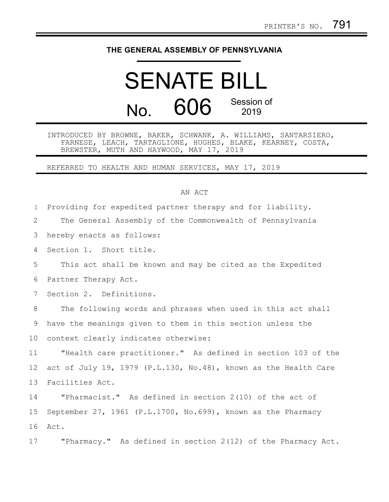## **THE GENERAL ASSEMBLY OF PENNSYLVANIA**

## SENATE BILL No. 606 Session of 2019

INTRODUCED BY BROWNE, BAKER, SCHWANK, A. WILLIAMS, SANTARSIERO, FARNESE, LEACH, TARTAGLIONE, HUGHES, BLAKE, KEARNEY, COSTA, BREWSTER, MUTH AND HAYWOOD, MAY 17, 2019

REFERRED TO HEALTH AND HUMAN SERVICES, MAY 17, 2019

## AN ACT

Providing for expedited partner therapy and for liability. The General Assembly of the Commonwealth of Pennsylvania hereby enacts as follows: Section 1. Short title. This act shall be known and may be cited as the Expedited Partner Therapy Act. Section 2. Definitions. The following words and phrases when used in this act shall have the meanings given to them in this section unless the context clearly indicates otherwise: "Health care practitioner." As defined in section 103 of the act of July 19, 1979 (P.L.130, No.48), known as the Health Care Facilities Act. "Pharmacist." As defined in section 2(10) of the act of September 27, 1961 (P.L.1700, No.699), known as the Pharmacy Act. 1 2 3 4 5 6 7 8 9 10 11 12 13 14 15 16

"Pharmacy." As defined in section 2(12) of the Pharmacy Act. 17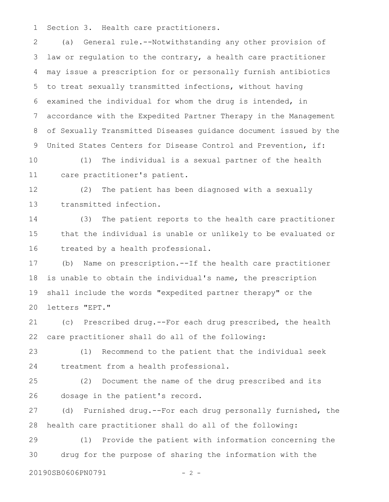Section 3. Health care practitioners. 1

(a) General rule.--Notwithstanding any other provision of law or regulation to the contrary, a health care practitioner may issue a prescription for or personally furnish antibiotics to treat sexually transmitted infections, without having examined the individual for whom the drug is intended, in accordance with the Expedited Partner Therapy in the Management of Sexually Transmitted Diseases guidance document issued by the United States Centers for Disease Control and Prevention, if: 2 3 4 5 6 7 8 9

(1) The individual is a sexual partner of the health care practitioner's patient. 10 11

(2) The patient has been diagnosed with a sexually transmitted infection. 12 13

(3) The patient reports to the health care practitioner that the individual is unable or unlikely to be evaluated or treated by a health professional. 14 15 16

(b) Name on prescription.--If the health care practitioner is unable to obtain the individual's name, the prescription shall include the words "expedited partner therapy" or the letters "EPT." 17 18 19 20

(c) Prescribed drug.--For each drug prescribed, the health care practitioner shall do all of the following: 21 22

(1) Recommend to the patient that the individual seek treatment from a health professional. 23 24

(2) Document the name of the drug prescribed and its dosage in the patient's record. 25 26

(d) Furnished drug.--For each drug personally furnished, the health care practitioner shall do all of the following: 27 28

(1) Provide the patient with information concerning the drug for the purpose of sharing the information with the 29 30

20190SB0606PN0791 - 2 -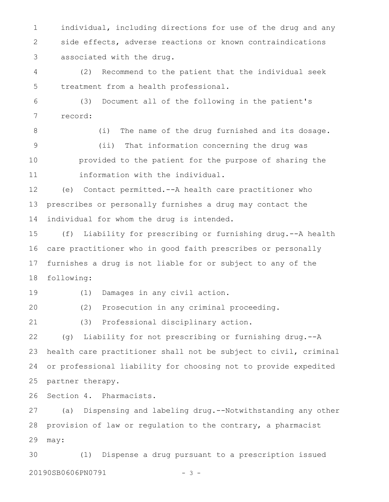individual, including directions for use of the drug and any side effects, adverse reactions or known contraindications associated with the drug. 1 2 3

(2) Recommend to the patient that the individual seek treatment from a health professional. 4 5

(3) Document all of the following in the patient's record: 6 7

8

(i) The name of the drug furnished and its dosage. (ii) That information concerning the drug was provided to the patient for the purpose of sharing the information with the individual. 9 10 11

(e) Contact permitted.--A health care practitioner who prescribes or personally furnishes a drug may contact the individual for whom the drug is intended. 12 13 14

(f) Liability for prescribing or furnishing drug.--A health care practitioner who in good faith prescribes or personally furnishes a drug is not liable for or subject to any of the following: 15 16 17 18

19

(1) Damages in any civil action.

(2) Prosecution in any criminal proceeding. 20

(3) Professional disciplinary action. 21

(g) Liability for not prescribing or furnishing drug.--A health care practitioner shall not be subject to civil, criminal or professional liability for choosing not to provide expedited partner therapy. 22 23 24 25

Section 4. Pharmacists. 26

(a) Dispensing and labeling drug.--Notwithstanding any other provision of law or regulation to the contrary, a pharmacist may: 27 28 29

(1) Dispense a drug pursuant to a prescription issued 20190SB0606PN0791 - 3 -30